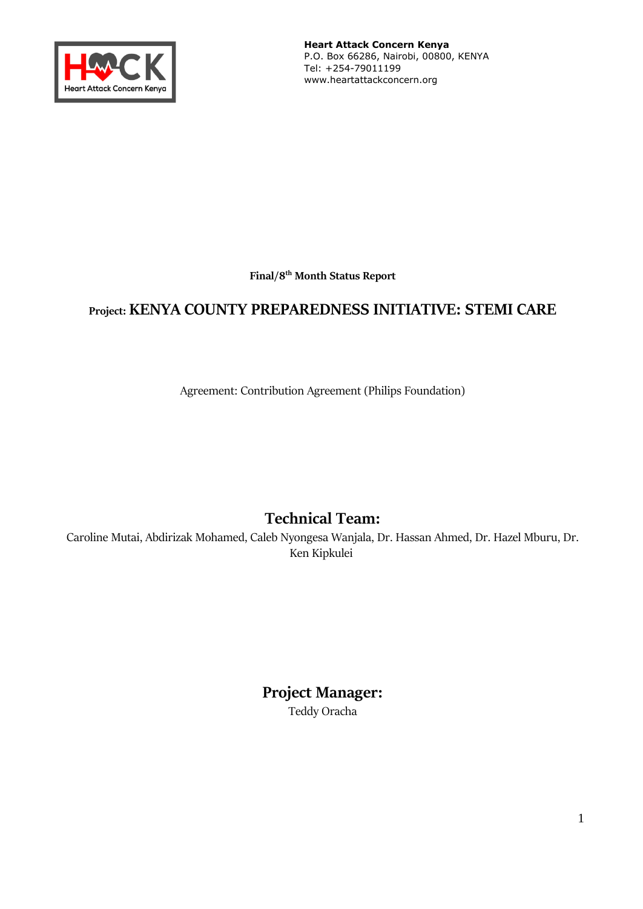

**Heart Attack Concern Kenya**  P.O. Box 66286, Nairobi, 00800, KENYA Tel: +254-79011199 www.heartattackconcern.org

**Final/8 th Month Status Report**

# **Project: KENYA COUNTY PREPAREDNESS INITIATIVE: STEMI CARE**

Agreement: Contribution Agreement (Philips Foundation)

# **Technical Team:**

Caroline Mutai, Abdirizak Mohamed, Caleb Nyongesa Wanjala, Dr. Hassan Ahmed, Dr. Hazel Mburu, Dr. Ken Kipkulei

> **Project Manager:** Teddy Oracha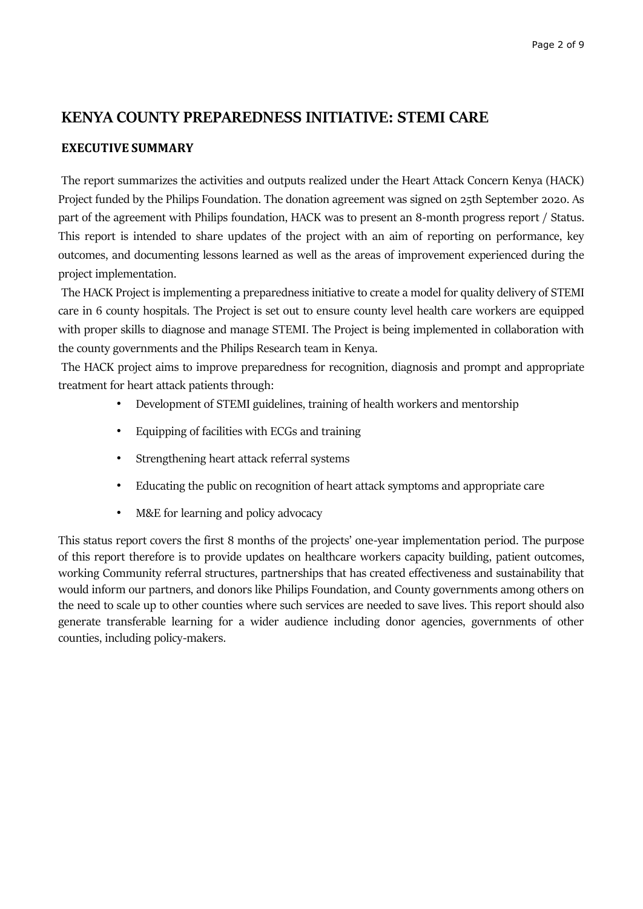# **KENYA COUNTY PREPAREDNESS INITIATIVE: STEMI CARE**

### **EXECUTIVE SUMMARY**

The report summarizes the activities and outputs realized under the Heart Attack Concern Kenya (HACK) Project funded by the Philips Foundation. The donation agreement was signed on 25th September 2020. As part of the agreement with Philips foundation, HACK was to present an 8-month progress report / Status. This report is intended to share updates of the project with an aim of reporting on performance, key outcomes, and documenting lessons learned as well as the areas of improvement experienced during the project implementation.

The HACK Project is implementing a preparedness initiative to create a model for quality delivery of STEMI care in 6 county hospitals. The Project is set out to ensure county level health care workers are equipped with proper skills to diagnose and manage STEMI. The Project is being implemented in collaboration with the county governments and the Philips Research team in Kenya.

The HACK project aims to improve preparedness for recognition, diagnosis and prompt and appropriate treatment for heart attack patients through:

- Development of STEMI guidelines, training of health workers and mentorship
- Equipping of facilities with ECGs and training
- Strengthening heart attack referral systems
- Educating the public on recognition of heart attack symptoms and appropriate care
- M&E for learning and policy advocacy

This status report covers the first 8 months of the projects' one-year implementation period. The purpose of this report therefore is to provide updates on healthcare workers capacity building, patient outcomes, working Community referral structures, partnerships that has created effectiveness and sustainability that would inform our partners, and donors like Philips Foundation, and County governments among others on the need to scale up to other counties where such services are needed to save lives. This report should also generate transferable learning for a wider audience including donor agencies, governments of other counties, including policy-makers.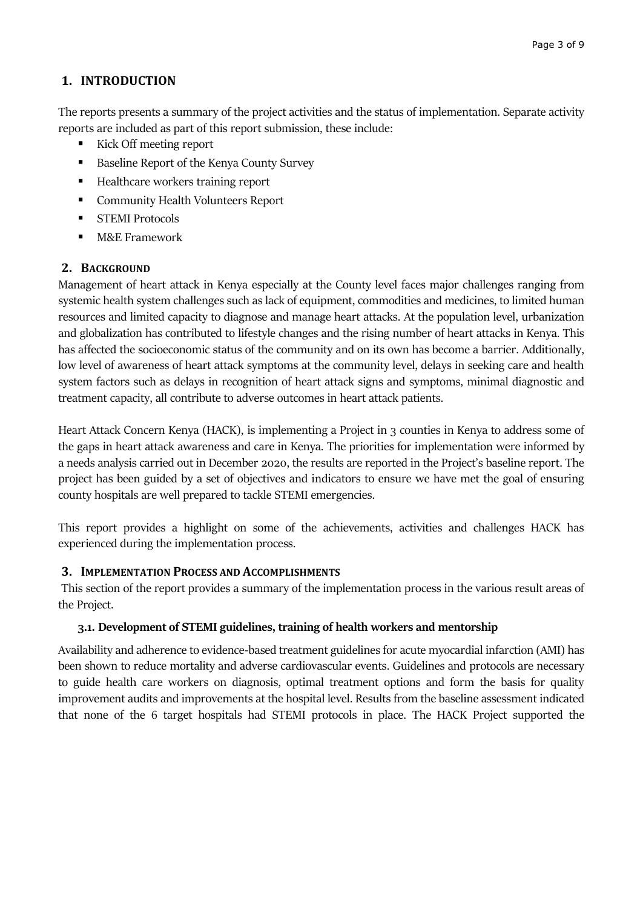# **1. INTRODUCTION**

The reports presents a summary of the project activities and the status of implementation. Separate activity reports are included as part of this report submission, these include:

- Kick Off meeting report
- Baseline Report of the Kenya County Survey
- Healthcare workers training report
- Community Health Volunteers Report
- **STEMI Protocols**
- **M&E** Framework

# **2. BACKGROUND**

Management of heart attack in Kenya especially at the County level faces major challenges ranging from systemic health system challenges such as lack of equipment, commodities and medicines, to limited human resources and limited capacity to diagnose and manage heart attacks. At the population level, urbanization and globalization has contributed to lifestyle changes and the rising number of heart attacks in Kenya. This has affected the socioeconomic status of the community and on its own has become a barrier. Additionally, low level of awareness of heart attack symptoms at the community level, delays in seeking care and health system factors such as delays in recognition of heart attack signs and symptoms, minimal diagnostic and treatment capacity, all contribute to adverse outcomes in heart attack patients.

Heart Attack Concern Kenya (HACK), is implementing a Project in 3 counties in Kenya to address some of the gaps in heart attack awareness and care in Kenya. The priorities for implementation were informed by a needs analysis carried out in December 2020, the results are reported in the Project's baseline report. The project has been guided by a set of objectives and indicators to ensure we have met the goal of ensuring county hospitals are well prepared to tackle STEMI emergencies.

This report provides a highlight on some of the achievements, activities and challenges HACK has experienced during the implementation process.

# **3. IMPLEMENTATION PROCESS AND ACCOMPLISHMENTS**

This section of the report provides a summary of the implementation process in the various result areas of the Project.

#### **3.1. Development of STEMI guidelines, training of health workers and mentorship**

Availability and adherence to evidence-based treatment guidelines for acute myocardial infarction (AMI) has been shown to reduce mortality and adverse cardiovascular events. Guidelines and protocols are necessary to guide health care workers on diagnosis, optimal treatment options and form the basis for quality improvement audits and improvements at the hospital level. Results from the baseline assessment indicated that none of the 6 target hospitals had STEMI protocols in place. The HACK Project supported the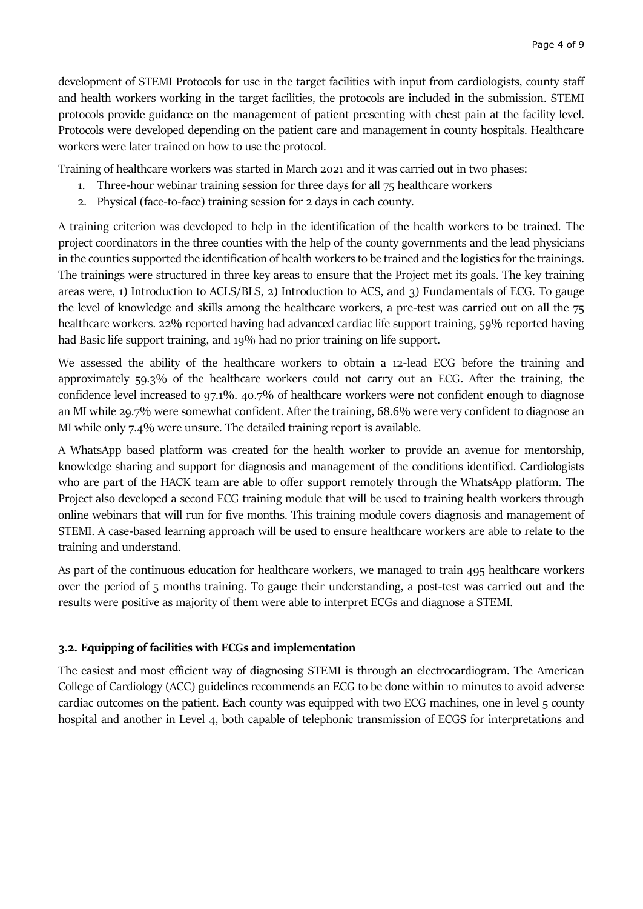development of STEMI Protocols for use in the target facilities with input from cardiologists, county staff and health workers working in the target facilities, the protocols are included in the submission. STEMI protocols provide guidance on the management of patient presenting with chest pain at the facility level. Protocols were developed depending on the patient care and management in county hospitals. Healthcare workers were later trained on how to use the protocol.

Training of healthcare workers was started in March 2021 and it was carried out in two phases:

- 1. Three-hour webinar training session for three days for all 75 healthcare workers
- 2. Physical (face-to-face) training session for 2 days in each county.

A training criterion was developed to help in the identification of the health workers to be trained. The project coordinators in the three counties with the help of the county governments and the lead physicians in the counties supported the identification of health workers to be trained and the logistics for the trainings. The trainings were structured in three key areas to ensure that the Project met its goals. The key training areas were, 1) Introduction to ACLS/BLS, 2) Introduction to ACS, and 3) Fundamentals of ECG. To gauge the level of knowledge and skills among the healthcare workers, a pre-test was carried out on all the 75 healthcare workers. 22% reported having had advanced cardiac life support training, 59% reported having had Basic life support training, and 19% had no prior training on life support.

We assessed the ability of the healthcare workers to obtain a 12-lead ECG before the training and approximately 59.3% of the healthcare workers could not carry out an ECG. After the training, the confidence level increased to 97.1%. 40.7% of healthcare workers were not confident enough to diagnose an MI while 29.7% were somewhat confident. After the training, 68.6% were very confident to diagnose an MI while only 7.4% were unsure. The detailed training report is available.

A WhatsApp based platform was created for the health worker to provide an avenue for mentorship, knowledge sharing and support for diagnosis and management of the conditions identified. Cardiologists who are part of the HACK team are able to offer support remotely through the WhatsApp platform. The Project also developed a second ECG training module that will be used to training health workers through online webinars that will run for five months. This training module covers diagnosis and management of STEMI. A case-based learning approach will be used to ensure healthcare workers are able to relate to the training and understand.

As part of the continuous education for healthcare workers, we managed to train 495 healthcare workers over the period of 5 months training. To gauge their understanding, a post-test was carried out and the results were positive as majority of them were able to interpret ECGs and diagnose a STEMI.

# **3.2. Equipping of facilities with ECGs and implementation**

The easiest and most efficient way of diagnosing STEMI is through an electrocardiogram. The American College of Cardiology (ACC) guidelines recommends an ECG to be done within 10 minutes to avoid adverse cardiac outcomes on the patient. Each county was equipped with two ECG machines, one in level 5 county hospital and another in Level 4, both capable of telephonic transmission of ECGS for interpretations and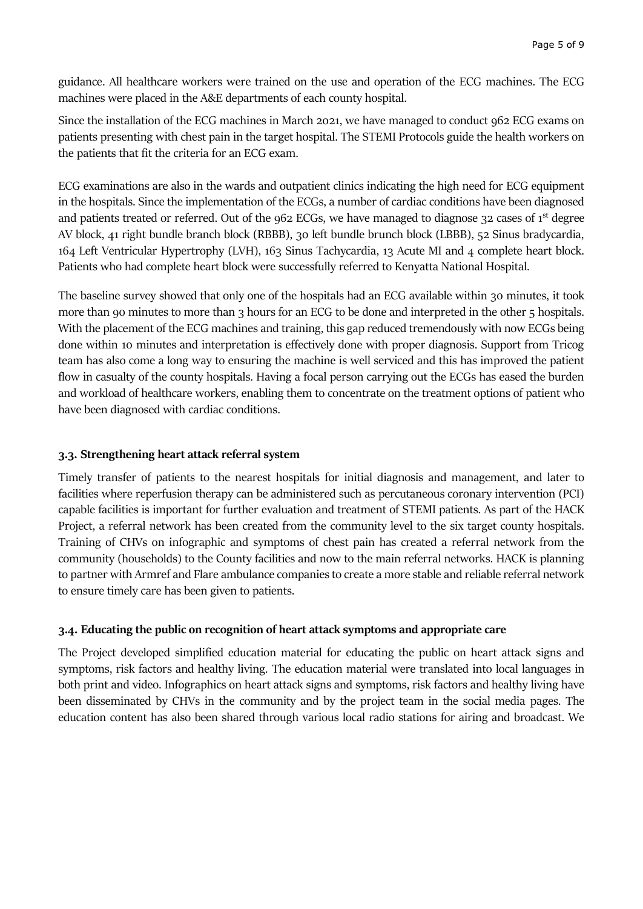guidance. All healthcare workers were trained on the use and operation of the ECG machines. The ECG machines were placed in the A&E departments of each county hospital.

Since the installation of the ECG machines in March 2021, we have managed to conduct 962 ECG exams on patients presenting with chest pain in the target hospital. The STEMI Protocols guide the health workers on the patients that fit the criteria for an ECG exam.

ECG examinations are also in the wards and outpatient clinics indicating the high need for ECG equipment in the hospitals. Since the implementation of the ECGs, a number of cardiac conditions have been diagnosed and patients treated or referred. Out of the 962 ECGs, we have managed to diagnose 32 cases of 1<sup>st</sup> degree AV block, 41 right bundle branch block (RBBB), 30 left bundle brunch block (LBBB), 52 Sinus bradycardia, 164 Left Ventricular Hypertrophy (LVH), 163 Sinus Tachycardia, 13 Acute MI and 4 complete heart block. Patients who had complete heart block were successfully referred to Kenyatta National Hospital.

The baseline survey showed that only one of the hospitals had an ECG available within 30 minutes, it took more than 90 minutes to more than 3 hours for an ECG to be done and interpreted in the other 5 hospitals. With the placement of the ECG machines and training, this gap reduced tremendously with now ECGs being done within 10 minutes and interpretation is effectively done with proper diagnosis. Support from Tricog team has also come a long way to ensuring the machine is well serviced and this has improved the patient flow in casualty of the county hospitals. Having a focal person carrying out the ECGs has eased the burden and workload of healthcare workers, enabling them to concentrate on the treatment options of patient who have been diagnosed with cardiac conditions.

#### **3.3. Strengthening heart attack referral system**

Timely transfer of patients to the nearest hospitals for initial diagnosis and management, and later to facilities where reperfusion therapy can be administered such as percutaneous coronary intervention (PCI) capable facilities is important for further evaluation and treatment of STEMI patients. As part of the HACK Project, a referral network has been created from the community level to the six target county hospitals. Training of CHVs on infographic and symptoms of chest pain has created a referral network from the community (households) to the County facilities and now to the main referral networks. HACK is planning to partner with Armref and Flare ambulance companies to create a more stable and reliable referral network to ensure timely care has been given to patients.

#### **3.4. Educating the public on recognition of heart attack symptoms and appropriate care**

The Project developed simplified education material for educating the public on heart attack signs and symptoms, risk factors and healthy living. The education material were translated into local languages in both print and video. Infographics on heart attack signs and symptoms, risk factors and healthy living have been disseminated by CHVs in the community and by the project team in the social media pages. The education content has also been shared through various local radio stations for airing and broadcast. We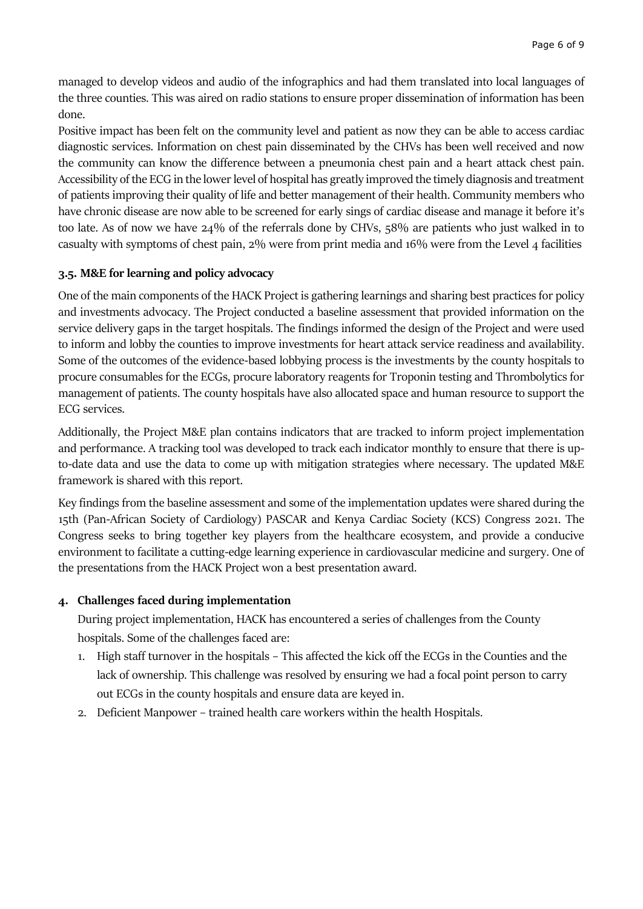managed to develop videos and audio of the infographics and had them translated into local languages of the three counties. This was aired on radio stations to ensure proper dissemination of information has been done.

Positive impact has been felt on the community level and patient as now they can be able to access cardiac diagnostic services. Information on chest pain disseminated by the CHVs has been well received and now the community can know the difference between a pneumonia chest pain and a heart attack chest pain. Accessibility of the ECG in the lower level of hospital has greatly improved the timely diagnosis and treatment of patients improving their quality of life and better management of their health. Community members who have chronic disease are now able to be screened for early sings of cardiac disease and manage it before it's too late. As of now we have 24% of the referrals done by CHVs, 58% are patients who just walked in to casualty with symptoms of chest pain, 2% were from print media and 16% were from the Level 4 facilities

#### **3.5. M&E for learning and policy advocacy**

One of the main components of the HACK Project is gathering learnings and sharing best practices for policy and investments advocacy. The Project conducted a baseline assessment that provided information on the service delivery gaps in the target hospitals. The findings informed the design of the Project and were used to inform and lobby the counties to improve investments for heart attack service readiness and availability. Some of the outcomes of the evidence-based lobbying process is the investments by the county hospitals to procure consumables for the ECGs, procure laboratory reagents for Troponin testing and Thrombolytics for management of patients. The county hospitals have also allocated space and human resource to support the ECG services.

Additionally, the Project M&E plan contains indicators that are tracked to inform project implementation and performance. A tracking tool was developed to track each indicator monthly to ensure that there is upto-date data and use the data to come up with mitigation strategies where necessary. The updated M&E framework is shared with this report.

Key findings from the baseline assessment and some of the implementation updates were shared during the 15th (Pan-African Society of Cardiology) PASCAR and Kenya Cardiac Society (KCS) Congress 2021. The Congress seeks to bring together key players from the healthcare ecosystem, and provide a conducive environment to facilitate a cutting-edge learning experience in cardiovascular medicine and surgery. One of the presentations from the HACK Project won a best presentation award.

#### **4. Challenges faced during implementation**

During project implementation, HACK has encountered a series of challenges from the County hospitals. Some of the challenges faced are:

- 1. High staff turnover in the hospitals This affected the kick off the ECGs in the Counties and the lack of ownership. This challenge was resolved by ensuring we had a focal point person to carry out ECGs in the county hospitals and ensure data are keyed in.
- 2. Deficient Manpower trained health care workers within the health Hospitals.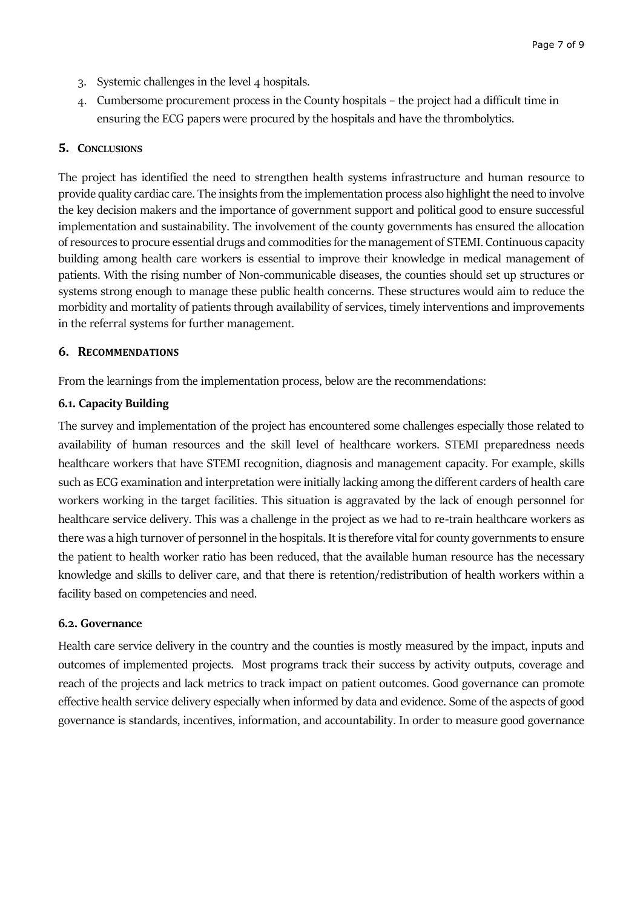- 3. Systemic challenges in the level 4 hospitals.
- 4. Cumbersome procurement process in the County hospitals the project had a difficult time in ensuring the ECG papers were procured by the hospitals and have the thrombolytics.

#### **5. CONCLUSIONS**

The project has identified the need to strengthen health systems infrastructure and human resource to provide quality cardiac care. The insights from the implementation process also highlight the need to involve the key decision makers and the importance of government support and political good to ensure successful implementation and sustainability. The involvement of the county governments has ensured the allocation of resources to procure essential drugs and commoditiesfor the management of STEMI. Continuous capacity building among health care workers is essential to improve their knowledge in medical management of patients. With the rising number of Non-communicable diseases, the counties should set up structures or systems strong enough to manage these public health concerns. These structures would aim to reduce the morbidity and mortality of patients through availability of services, timely interventions and improvements in the referral systems for further management.

#### **6. RECOMMENDATIONS**

From the learnings from the implementation process, below are the recommendations:

#### **6.1. Capacity Building**

The survey and implementation of the project has encountered some challenges especially those related to availability of human resources and the skill level of healthcare workers. STEMI preparedness needs healthcare workers that have STEMI recognition, diagnosis and management capacity. For example, skills such as ECG examination and interpretation were initially lacking among the different carders of health care workers working in the target facilities. This situation is aggravated by the lack of enough personnel for healthcare service delivery. This was a challenge in the project as we had to re-train healthcare workers as there was a high turnover of personnel in the hospitals. It is therefore vital for county governments to ensure the patient to health worker ratio has been reduced, that the available human resource has the necessary knowledge and skills to deliver care, and that there is retention/redistribution of health workers within a facility based on competencies and need.

#### **6.2. Governance**

Health care service delivery in the country and the counties is mostly measured by the impact, inputs and outcomes of implemented projects. Most programs track their success by activity outputs, coverage and reach of the projects and lack metrics to track impact on patient outcomes. Good governance can promote effective health service delivery especially when informed by data and evidence. Some of the aspects of good governance is standards, incentives, information, and accountability. In order to measure good governance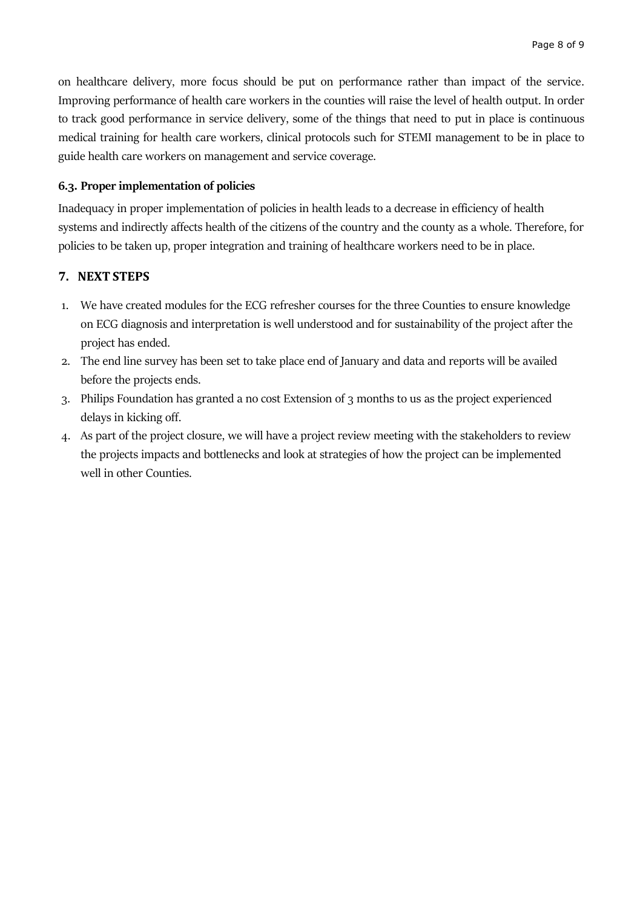on healthcare delivery, more focus should be put on performance rather than impact of the service. Improving performance of health care workers in the counties will raise the level of health output. In order to track good performance in service delivery, some of the things that need to put in place is continuous medical training for health care workers, clinical protocols such for STEMI management to be in place to guide health care workers on management and service coverage.

### **6.3. Proper implementation of policies**

Inadequacy in proper implementation of policies in health leads to a decrease in efficiency of health systems and indirectly affects health of the citizens of the country and the county as a whole. Therefore, for policies to be taken up, proper integration and training of healthcare workers need to be in place.

# **7. NEXT STEPS**

- 1. We have created modules for the ECG refresher courses for the three Counties to ensure knowledge on ECG diagnosis and interpretation is well understood and for sustainability of the project after the project has ended.
- 2. The end line survey has been set to take place end of January and data and reports will be availed before the projects ends.
- 3. Philips Foundation has granted a no cost Extension of 3 months to us as the project experienced delays in kicking off.
- 4. As part of the project closure, we will have a project review meeting with the stakeholders to review the projects impacts and bottlenecks and look at strategies of how the project can be implemented well in other Counties.